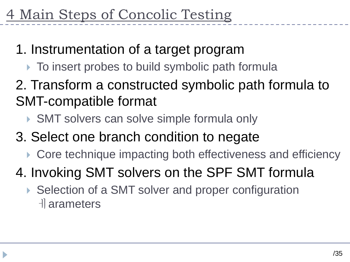- 1. Instrumentation of a target program
	- $\triangleright$  To insert probes to build symbolic path formula
- 2. Transform a constructed symbolic path formula to SMT-compatible format
	- ▶ SMT solvers can solve simple formula only
- 3. Select one branch condition to negate
	- ▶ Core technique impacting both effectiveness and efficiency
- 4. Invoking SMT solvers on the SPF SMT formula
	- ▶ Selection of a SMT solver and proper configuration ㅔarameters

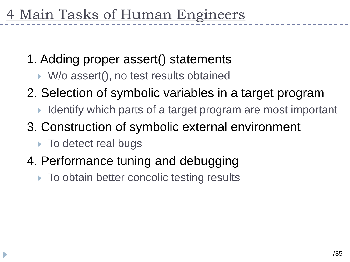- 1. Adding proper assert() statements
	- ▶ W/o assert(), no test results obtained
- 2. Selection of symbolic variables in a target program
	- I Identify which parts of a target program are most important
- 3. Construction of symbolic external environment
	- ▶ To detect real bugs
- 4. Performance tuning and debugging
	- ▶ To obtain better concolic testing results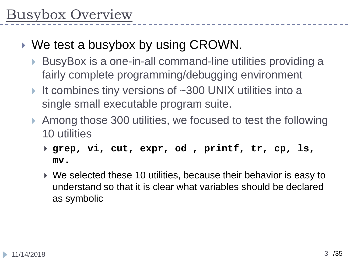- ▶ We test a busybox by using CROWN.
	- ▶ BusyBox is a one-in-all command-line utilities providing a fairly complete programming/debugging environment
	- It combines tiny versions of ~300 UNIX utilities into a single small executable program suite.
	- ▶ Among those 300 utilities, we focused to test the following 10 utilities
		- **grep, vi, cut, expr, od , printf, tr, cp, ls, mv.**
		- We selected these 10 utilities, because their behavior is easy to understand so that it is clear what variables should be declared as symbolic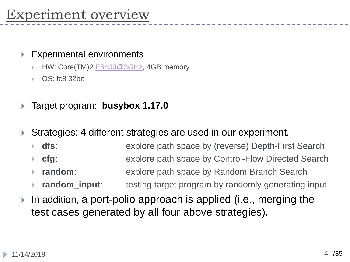#### Experimental environments

- HW: Core(TM)2 [E8400@3GHz](mailto:E8400@3GHz), 4GB memory
- OS: fc8 32bit
- Target program: **busybox 1.17.0**
- Strategies: 4 different strategies are used in our experiment.
	- **dfs**: explore path space by (reverse) Depth-First Search
	- **cfg**: explore path space by Control-Flow Directed Search
	- **random**: explore path space by Random Branch Search
	- **random\_input:** testing target program by randomly generating input
- In addition, a port-polio approach is applied (i.e., merging the test cases generated by all four above strategies).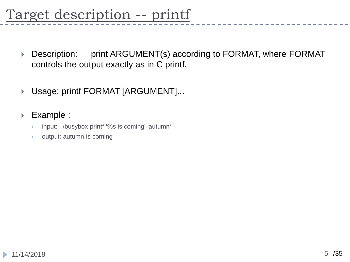# Target description -- printf

- ▶ Description: print ARGUMENT(s) according to FORMAT, where FORMAT controls the output exactly as in C printf.
- ▶ Usage: printf FORMAT [ARGUMENT]...
- ▶ Example :
	- input: ./busybox printf '%s is coming' 'autumn'
	- output: autumn is coming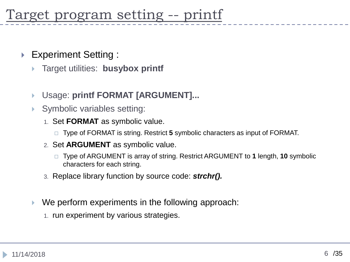- ▶ Experiment Setting :
	- Target utilities: **busybox printf**
	- Usage: **printf FORMAT [ARGUMENT]...**
	- Symbolic variables setting:
		- 1. Set **FORMAT** as symbolic value.
			- Type of FORMAT is string. Restrict **5** symbolic characters as input of FORMAT.
		- 2. Set **ARGUMENT** as symbolic value.
			- Type of ARGUMENT is array of string. Restrict ARGUMENT to **1** length, **10** symbolic characters for each string.
		- 3. Replace library function by source code: *strchr().*
	- We perform experiments in the following approach:
		- 1. run experiment by various strategies.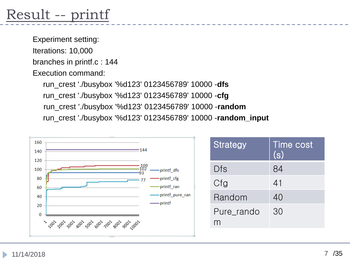# Result -- printf

Experiment setting: Iterations: 10,000 branches in printf.c : 144

Execution command:

run\_crest './busybox '%d123' 0123456789' 10000 -**dfs** run\_crest './busybox '%d123' 0123456789' 10000 -**cfg** run\_crest './busybox '%d123' 0123456789' 10000 -**random** run\_crest './busybox '%d123' 0123456789' 10000 -**random\_input**



| <b>Strategy</b> | Time cost<br>(s) |
|-----------------|------------------|
| Dfs             | 84               |
| Cfg             | 41               |
| Random          | 40               |
| Pure rando      | 30               |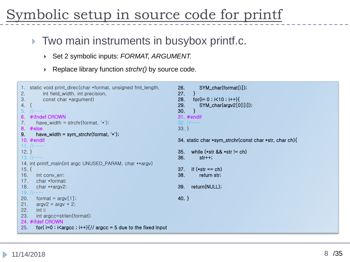# ymbolic setup in source code for printf

### **Two main instruments in busybox printf.c.**

- Set 2 symbolic inputs: *FORMAT, ARGUMENT.*
- Replace library function *strchr()* by source code.

```
1. static void print_direc(char *format, unsigned fmt_length,
2. int field_width, int precision,
3. const char *argument)
4. {
5. //……
6. #ifndef CROWN
7. have_width = strchr(format, \forall);
8. #else
9. have_width = sym_strchr(format, \langle \star \rangle;
10. #endif
11. //……
12. }
13. //……
14. int printf_main(int argc UNUSED_PARAM, char **argv)
15. {
16. int conv_err;
17. char *format;
18. char **argy2;
19. //……
20. format = \arctan 1;
21. argv^2 = argv + 2;
22. int i;
23. int argcc=strlen(format);
24. #ifdef CROWN
25. for(i=0; i\leq \argcc; i++){// argcc = 5 due to the fixed input
                                                                 26. SYM_char(format[i]);
                                                                 27. }
                                                                 28. for(i= 0 ; i < 10 ; i++)29. SYM_char(argv2[0][i]);
                                                                 30. }
                                                                 31. #endif
                                                                 32. //……
                                                                 33. }
                                                                 34. static char *sym_strchr(const char *str, char ch){
                                                                 35. while (*str && *str != ch)
                                                                 36. str++;
                                                                 37. if (*str == ch)38. return str;
                                                                 39. return(NULL);
                                                                 40. }
```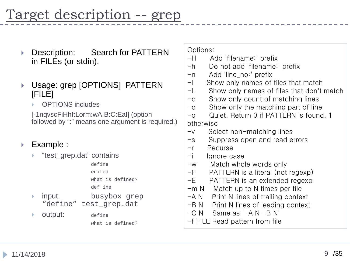- ▶ Description: Search for PATTERN in FILEs (or stdin).
- Usage: grep [OPTIONS] PATTERN [FILE]
	- OPTIONS includes

[-1nqvscFiHhf:Lorm:wA:B:C:EaI] (option followed by ":" means one argument is required.)

#### Example :

- "test\_grep.dat" contains
	- define enifed what is defined? def ine
- input: busybox grep "define" test\_grep.dat
- **Output:** define

what is defined?

Options:

- -H Add 'filename:' prefix
- -h Do not add 'filename:' prefix
- -n Add 'line\_no:' prefix
- -l Show only names of files that match
- -L Show only names of files that don't match
- -c Show only count of matching lines
- -o Show only the matching part of line
- -q Quiet. Return 0 if PATTERN is found, 1 otherwise
- -v Select non-matching lines
- -s Suppress open and read errors
- -r Recurse
- -i Ignore case
- -w Match whole words only
- -F PATTERN is a literal (not regexp)
- -E PATTERN is an extended regexp
- $-m N$  Match up to N times per file
- $-A N$  Print N lines of trailing context
- -B N Print N lines of leading context
- $-C N$  Same as '-A N -B N'
- -f FILE Read pattern from file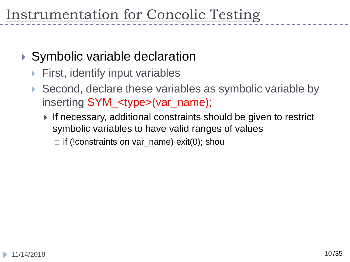## ▶ Symbolic variable declaration

- First, identify input variables
- ▶ Second, declare these variables as symbolic variable by inserting SYM\_<type>(var\_name);
	- ▶ If necessary, additional constraints should be given to restrict symbolic variables to have valid ranges of values
		- $\Box$  if (!constraints on var\_name) exit(0); shou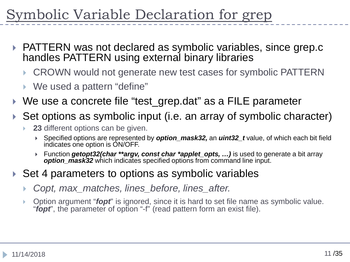mbolic Variable Declaration for grep

- ▶ PATTERN was not declared as symbolic variables, since grep.c handles PATTERN using external binary libraries
	- CROWN would not generate new test cases for symbolic PATTERN
	- ▶ We used a pattern "define"
- ▶ We use a concrete file "test\_grep.dat" as a FILE parameter
- Set options as symbolic input (i.e. an array of symbolic character)
	- **23** different options can be given.
		- Specified options are represented by *option\_mask32,* an *uint32\_t* value, of which each bit field indicates one option is ON/OFF.
		- Function *getopt32(char \*\*argv, const char \*applet\_opts, …)* is used to generate a bit array *option\_mask32* which indicates specified options from command line input.
- Set 4 parameters to options as symbolic variables
	- *Copt, max\_matches, lines\_before, lines\_after.*
	- Option argument "*fopt*" is ignored, since it is hard to set file name as symbolic value. "*fopt*", the parameter of option "-f" (read pattern form an exist file).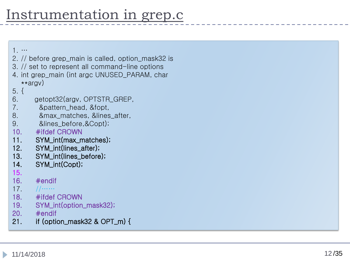1. …

- 2. // before grep\_main is called, option\_mask32 is
- 3. // set to represent all command -line options
- 4. int grep\_main (int argc UNUSED\_PARAM, char \*\*argv )
- 5. {
- 6. getopt32(argv, OPTSTR\_GREP,
- 7. &pattern\_head, &fopt,
- 8. &max\_matches, &lines\_after,
- 9. &lines\_before,&Copt);
- 10. #ifdef CROWN
- 11. SYM\_int (max\_matches);
- 12. SYM\_int (lines\_after);
- 13. SYM\_int (lines\_before);
- 14. SYM\_int(Copt);
- 15.
- 16. #endif
- $17.$
- 18. #ifdef CROWN
- 19. SYM\_int(option\_mask32);
- 20. #endif
- 21. if (option\_mask32 & OPT\_m) {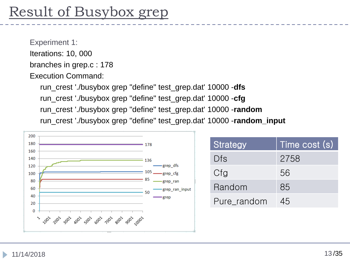# Result of Busybox grep

Experiment 1: Iterations: 10, 000 branches in grep.c : 178 Execution Command:

> run\_crest './busybox grep "define" test\_grep.dat' 10000 -**dfs** run\_crest './busybox grep "define" test\_grep.dat' 10000 -**cfg** run\_crest './busybox grep "define" test\_grep.dat' 10000 -**random** run\_crest './busybox grep "define" test\_grep.dat' 10000 -**random\_input**



| Strategy    | Time cost (s) |
|-------------|---------------|
| Dfs         | 2758          |
| Cfg         | 56            |
| Random      | 85            |
| Pure_random | 45            |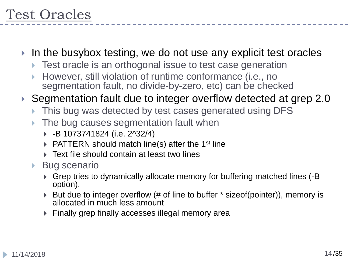- In the busybox testing, we do not use any explicit test oracles
	- ▶ Test oracle is an orthogonal issue to test case generation
	- However, still violation of runtime conformance (i.e., no segmentation fault, no divide-by-zero, etc) can be checked

### ▶ Segmentation fault due to integer overflow detected at grep 2.0

- This bug was detected by test cases generated using DFS
- The bug causes segmentation fault when
	- -B 1073741824 (i.e. 2^32/4)
	- $\triangleright$  PATTERN should match line(s) after the 1<sup>st</sup> line
	- Text file should contain at least two lines
- ▶ Bug scenario
	- Grep tries to dynamically allocate memory for buffering matched lines (-B option).
	- ▶ But due to integer overflow (# of line to buffer \* sizeof(pointer)), memory is allocated in much less amount
	- Finally grep finally accesses illegal memory area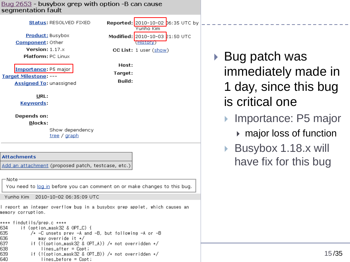Bug 2653 - busybox grep with option -B can cause segmentation fault

Status: RESOLVED FIXED

**Product: Busybox** Component: Other Version: 1.17.x **Platform: PC Linux** 

Importance: P5 major

**Target Milestone: ---**

Assigned To: unassigned

 $URL:$ 

**Keywords:** 

Depends on:

**Blocks:** 

Show dependency tree / graph

**Attachments** 

Add an attachment (proposed patch, testcase, etc.)

— Noter

You need to log in before you can comment on or make changes to this bug.

Yunho Kim 2010-10-02 06:35:09 UTC

l report an integer overflow bug in a busybox grep applet, which causes an memory corruption.

\*\*\*\* findutils/grep.c \*\*\*\* if (option\_mask32 & OPT\_C) { 634 635  $/*$  -C unsets prev -A and -B, but following -A or -B 636 may override it \*/ 637 if (!(option\_mask32 & OPT\_A)) /\* not overridden \*/ 638 11/14/2018 15 /35 639 640

**Reported:** 2010-10-02 **b6:35 UTC** by Yunho Kim Modified: 2010-10-03 21:50 UTC (History) CC List: 1 user (show)

Host: Target:

Build:

▶ Bug patch was immediately made in 1 day, since this bug is critical one

Importance: P5 major

- major loss of function
- Busybox 1.18.x will have fix for this bug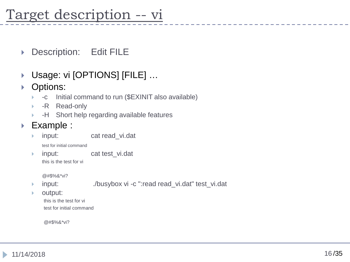## Target description -- vi

- ▶ Description: Edit FILE
- Usage: vi [OPTIONS] [FILE] …
- ▶ Options:
	- -c Initial command to run (\$EXINIT also available)
	- **-R** Read-only
	- -H Short help regarding available features
- ▶ Example :
	- input: cat read\_vi.dat
		- test for initial command
	- input: cat test\_vi.dat this is the test for vi

@#\$%&\*vi?

- input: ./busybox vi -c ":read read\_vi.dat" test\_vi.dat
- output:

this is the test for vi test for initial command

@#\$%&\*vi?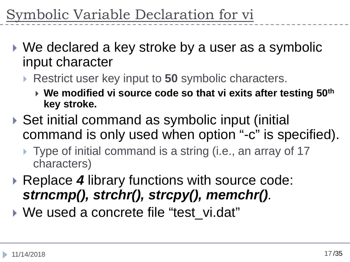mbolic Variable Declaration for vi

- ▶ We declared a key stroke by a user as a symbolic input character
	- **▶ Restrict user key input to 50 symbolic characters.** 
		- **We modified vi source code so that vi exits after testing 50th key stroke.**
- ▶ Set initial command as symbolic input (initial command is only used when option "-c" is specified).
	- ▶ Type of initial command is a string (i.e., an array of 17 characters)
- ▶ Replace 4 library functions with source code: *strncmp(), strchr(), strcpy(), memchr().*
- ▶ We used a concrete file "test\_vi.dat"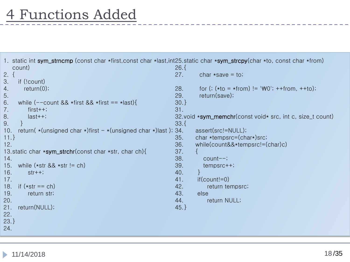```
1. static int sym_strncmp (const char *first,const char *last,int25.static char *sym_strcpy(char *to, const char *from)
  count)
2. {
3. if (!count)
4. return(0);
5.
6. while (--count && *first && *first == *last)\{7. first++;
8. last++;
9. }
10. return(*(unsigned char *)first - *(unsigned char *)last); 34.
11.}
12.
13.static char *sym_strchr(const char *str, char ch){
14.
15. while (*str 88 * str != ch)16. str++;
17.
18. if (*str == ch)19. return str;
20.
21. return(NULL);
22.
23.}
24.
                                                          26.{
                                                          27. char \starsave = to;
                                                          28. for (: (*to = *from) != 'W0'; ++from, ++to);29. return(save);
                                                          30.}
                                                          31.
                                                          32.void *sym_memchr(const void* src, int c, size_t count)
                                                          33.{
                                                                 assert(src!=NULL);
                                                          35. char *tempsrc=(char*)src;
                                                          36. while(count&&*tempsrc!=(char)c)
                                                          37. {
                                                          38. count--;
                                                          39. tempsrc++;
                                                          40. }
                                                          41. if(count!=0)
                                                          42. return tempsrc;
                                                          43. else
                                                          44. return NULL;
                                                          45.}
```

```
11/14/2018 18
```